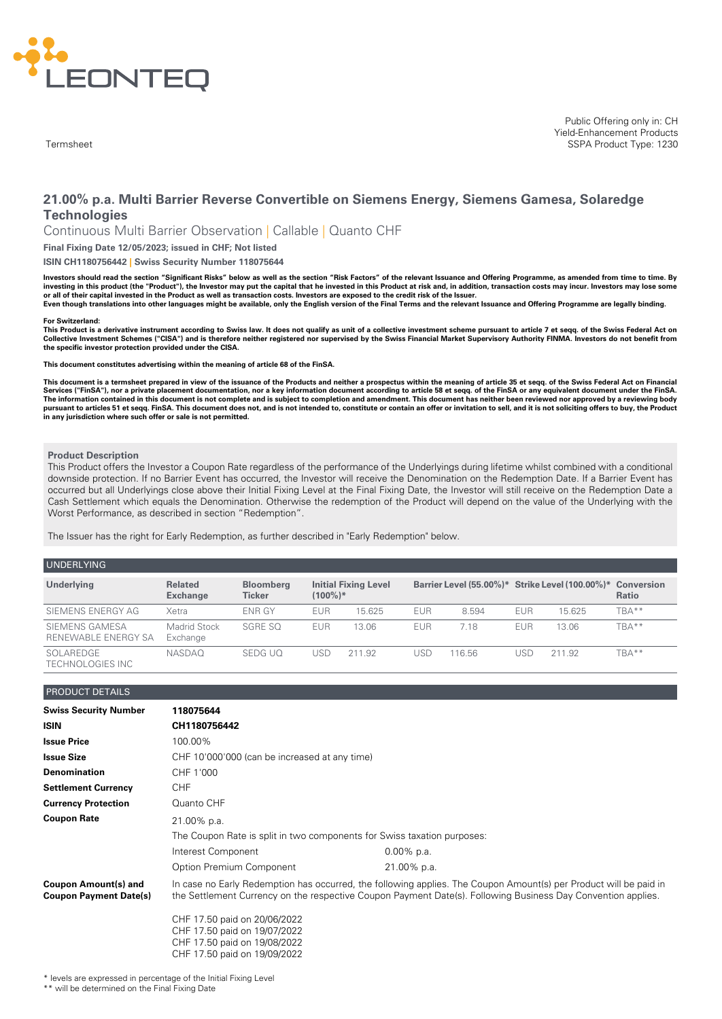

**Termsheet** 

# **21.00% p.a. Multi Barrier Reverse Convertible on Siemens Energy, Siemens Gamesa, Solaredge Technologies**

Continuous Multi Barrier Observation | Callable | Quanto CHF

**Final Fixing Date 12/05/2023; issued in CHF; Not listed**

**ISIN CH1180756442 | Swiss Security Number 118075644**

Investors should read the section "Significant Risks" below as well as the section "Risk Factors" of the relevant Issuance and Offering Programme, as amended from time to time. By investing in this product (the "Product"), the Investor may put the capital that he invested in this Product at risk and, in addition, transaction costs may incur. Investors may lose some<br>or all of their capital invested i

Even though translations into other languages might be available, only the English version of the Final Terms and the relevant Issuance and Offering Programme are legally binding.

#### **For Switzerland:**

This Product is a derivative instrument according to Swiss law. It does not qualify as unit of a collective investment scheme pursuant to article 7 et seqq. of the Swiss Federal Act on Collective Investment Schemes ("CISA") and is therefore neither registered nor supervised by the Swiss Financial Market Supervisory Authority FINMA. Investors do not benefit from **the specific investor protection provided under the CISA.**

**This document constitutes advertising within the meaning of article 68 of the FinSA.**

This document is a termsheet prepared in view of the issuance of the Products and neither a prospectus within the meaning of article 35 et segg. of the Swiss Federal Act on Financial Services ("FinSA"), nor a private placement documentation, nor a key information document according to article 58 et seqq. of the FinSA or any equivalent document under the FinSA. The information contained in this document is not complete and is subject to completion and amendment. This document has neither been reviewed nor approved by a reviewing body<br>pursuant to articles 51 et seqq. FinSA. This d **in any jurisdiction where such offer or sale is not permitted.**

#### **Product Description**

This Product offers the Investor a Coupon Rate regardless of the performance of the Underlyings during lifetime whilst combined with a conditional downside protection. If no Barrier Event has occurred, the Investor will receive the Denomination on the Redemption Date. If a Barrier Event has occurred but all Underlyings close above their Initial Fixing Level at the Final Fixing Date, the Investor will still receive on the Redemption Date a Cash Settlement which equals the Denomination. Otherwise the redemption of the Product will depend on the value of the Underlying with the Worst Performance, as described in section "Redemption".

The Issuer has the right for Early Redemption, as further described in "Early Redemption" below.

| <b>UNDERLYING</b>                     |                                   |                                   |            |                             |            |        |            |                                                            |       |
|---------------------------------------|-----------------------------------|-----------------------------------|------------|-----------------------------|------------|--------|------------|------------------------------------------------------------|-------|
| Underlying                            | <b>Related</b><br><b>Exchange</b> | <b>Bloomberg</b><br><b>Ticker</b> | $(100\%)*$ | <b>Initial Fixing Level</b> |            |        |            | Barrier Level (55.00%)* Strike Level (100.00%)* Conversion | Ratio |
| SIEMENS ENERGY AG                     | Xetra                             | ENR GY                            | <b>EUR</b> | 15.625                      | <b>EUR</b> | 8.594  | <b>EUR</b> | 15.625                                                     | TBA** |
| SIEMENS GAMESA<br>RENEWABLE ENERGY SA | Madrid Stock<br>Exchange          | SGRE SO                           | <b>EUR</b> | 13.06                       | <b>EUR</b> | 7.18   | <b>EUR</b> | 13.06                                                      | TBA** |
| SOLAREDGE<br>TECHNOLOGIES INC         | <b>NASDAO</b>                     | SEDG UO                           | USD        | 211.92                      | JSD        | 116.56 | USE        | 211.92                                                     | TBA** |

# PRODUCT DETAILS

| <b>Swiss Security Number</b>                                 | 118075644                                                                                                                                                                                                                         |               |  |  |
|--------------------------------------------------------------|-----------------------------------------------------------------------------------------------------------------------------------------------------------------------------------------------------------------------------------|---------------|--|--|
| <b>ISIN</b>                                                  | CH1180756442                                                                                                                                                                                                                      |               |  |  |
| <b>Issue Price</b>                                           | 100.00%                                                                                                                                                                                                                           |               |  |  |
| <b>Issue Size</b>                                            | CHF 10'000'000 (can be increased at any time)                                                                                                                                                                                     |               |  |  |
| <b>Denomination</b>                                          | CHF 1'000                                                                                                                                                                                                                         |               |  |  |
| <b>Settlement Currency</b>                                   | <b>CHF</b>                                                                                                                                                                                                                        |               |  |  |
| <b>Currency Protection</b>                                   | Quanto CHF                                                                                                                                                                                                                        |               |  |  |
| <b>Coupon Rate</b>                                           | 21.00% p.a.                                                                                                                                                                                                                       |               |  |  |
|                                                              | The Coupon Rate is split in two components for Swiss taxation purposes:                                                                                                                                                           |               |  |  |
|                                                              | Interest Component                                                                                                                                                                                                                | $0.00\%$ p.a. |  |  |
|                                                              | Option Premium Component                                                                                                                                                                                                          | 21.00% p.a.   |  |  |
| <b>Coupon Amount(s) and</b><br><b>Coupon Payment Date(s)</b> | In case no Early Redemption has occurred, the following applies. The Coupon Amount(s) per Product will be paid in<br>the Settlement Currency on the respective Coupon Payment Date(s). Following Business Day Convention applies. |               |  |  |
|                                                              | CHF 17.50 paid on 20/06/2022<br>CHF 17.50 paid on 19/07/2022<br>CHF 17.50 paid on 19/08/2022<br>CHF 17.50 paid on 19/09/2022                                                                                                      |               |  |  |

levels are expressed in percentage of the Initial Fixing Level

\*\* will be determined on the Final Fixing Date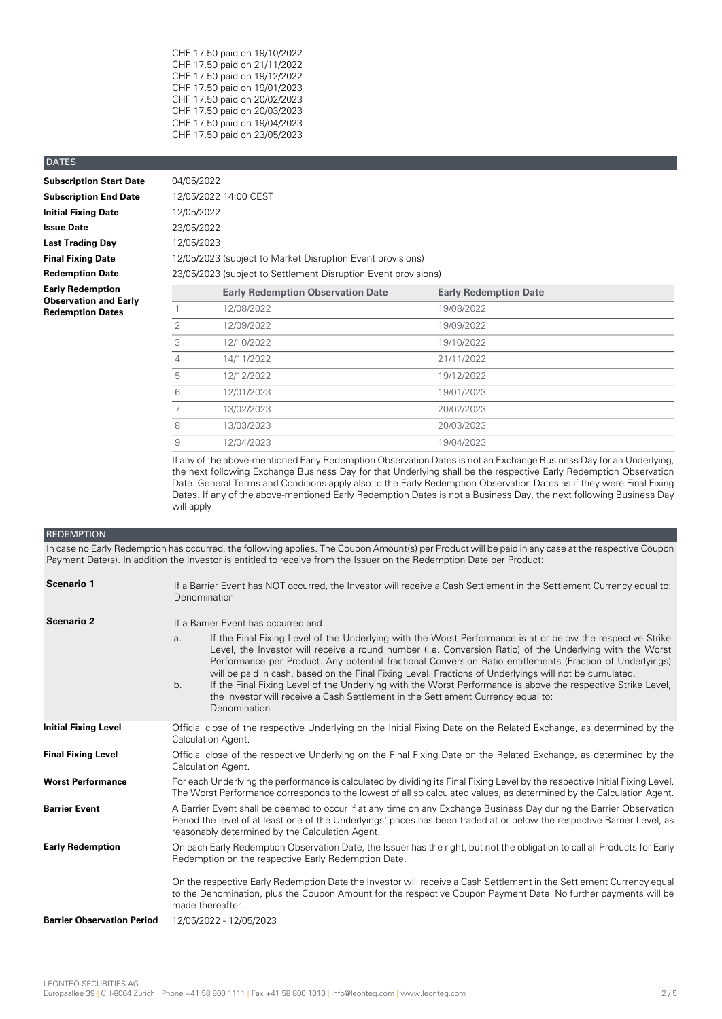| CHF 17.50 paid on 19/10/2022 |
|------------------------------|
| CHF 17.50 paid on 21/11/2022 |
| CHF 17.50 paid on 19/12/2022 |
| CHF 17.50 paid on 19/01/2023 |
| CHF 17.50 paid on 20/02/2023 |
| CHF 17.50 paid on 20/03/2023 |
| CHF 17.50 paid on 19/04/2023 |
| CHF 17.50 paid on 23/05/2023 |

# DATES

| <b>Subscription Start Date</b>                          | 04/05/2022                                                     |                                          |                              |  |
|---------------------------------------------------------|----------------------------------------------------------------|------------------------------------------|------------------------------|--|
| <b>Subscription End Date</b>                            | 12/05/2022 14:00 CEST                                          |                                          |                              |  |
| <b>Initial Fixing Date</b>                              | 12/05/2022                                                     |                                          |                              |  |
| <b>Issue Date</b>                                       | 23/05/2022                                                     |                                          |                              |  |
| <b>Last Trading Day</b>                                 | 12/05/2023                                                     |                                          |                              |  |
| <b>Final Fixing Date</b>                                | 12/05/2023 (subject to Market Disruption Event provisions)     |                                          |                              |  |
| <b>Redemption Date</b>                                  | 23/05/2023 (subject to Settlement Disruption Event provisions) |                                          |                              |  |
| <b>Early Redemption</b>                                 |                                                                | <b>Early Redemption Observation Date</b> | <b>Early Redemption Date</b> |  |
| <b>Observation and Early</b><br><b>Redemption Dates</b> |                                                                | 12/08/2022                               | 19/08/2022                   |  |
|                                                         |                                                                |                                          |                              |  |

|   | <b>Early Redemption Observation Date</b> | <b>Early Redemption Date</b> |
|---|------------------------------------------|------------------------------|
|   | 12/08/2022                               | 19/08/2022                   |
| 2 | 12/09/2022                               | 19/09/2022                   |
| 3 | 12/10/2022                               | 19/10/2022                   |
| 4 | 14/11/2022                               | 21/11/2022                   |
| 5 | 12/12/2022                               | 19/12/2022                   |
| 6 | 12/01/2023                               | 19/01/2023                   |
| 7 | 13/02/2023                               | 20/02/2023                   |
| 8 | 13/03/2023                               | 20/03/2023                   |
| 9 | 12/04/2023                               | 19/04/2023                   |

If any of the above-mentioned Early Redemption Observation Dates is not an Exchange Business Day for an Underlying, the next following Exchange Business Day for that Underlying shall be the respective Early Redemption Observation Date. General Terms and Conditions apply also to the Early Redemption Observation Dates as if they were Final Fixing Dates. If any of the above-mentioned Early Redemption Dates is not a Business Day, the next following Business Day will apply.

# REDEMPTION

In case no Early Redemption has occurred, the following applies. The Coupon Amount(s) per Product will be paid in any case at the respective Coupon Payment Date(s). In addition the Investor is entitled to receive from the Issuer on the Redemption Date per Product:

| Scenario 1                        | If a Barrier Event has NOT occurred, the Investor will receive a Cash Settlement in the Settlement Currency equal to:<br>Denomination                                                                                                                                                                                                                                                                                                                                                                                                                                                                                                                                          |  |  |
|-----------------------------------|--------------------------------------------------------------------------------------------------------------------------------------------------------------------------------------------------------------------------------------------------------------------------------------------------------------------------------------------------------------------------------------------------------------------------------------------------------------------------------------------------------------------------------------------------------------------------------------------------------------------------------------------------------------------------------|--|--|
| <b>Scenario 2</b>                 | If a Barrier Event has occurred and                                                                                                                                                                                                                                                                                                                                                                                                                                                                                                                                                                                                                                            |  |  |
|                                   | If the Final Fixing Level of the Underlying with the Worst Performance is at or below the respective Strike<br>a.<br>Level, the Investor will receive a round number (i.e. Conversion Ratio) of the Underlying with the Worst<br>Performance per Product. Any potential fractional Conversion Ratio entitlements (Fraction of Underlyings)<br>will be paid in cash, based on the Final Fixing Level. Fractions of Underlyings will not be cumulated.<br>If the Final Fixing Level of the Underlying with the Worst Performance is above the respective Strike Level,<br>b.<br>the Investor will receive a Cash Settlement in the Settlement Currency equal to:<br>Denomination |  |  |
| <b>Initial Fixing Level</b>       | Official close of the respective Underlying on the Initial Fixing Date on the Related Exchange, as determined by the<br>Calculation Agent.                                                                                                                                                                                                                                                                                                                                                                                                                                                                                                                                     |  |  |
| <b>Final Fixing Level</b>         | Official close of the respective Underlying on the Final Fixing Date on the Related Exchange, as determined by the<br>Calculation Agent.                                                                                                                                                                                                                                                                                                                                                                                                                                                                                                                                       |  |  |
| <b>Worst Performance</b>          | For each Underlying the performance is calculated by dividing its Final Fixing Level by the respective Initial Fixing Level.<br>The Worst Performance corresponds to the lowest of all so calculated values, as determined by the Calculation Agent.                                                                                                                                                                                                                                                                                                                                                                                                                           |  |  |
| <b>Barrier Event</b>              | A Barrier Event shall be deemed to occur if at any time on any Exchange Business Day during the Barrier Observation<br>Period the level of at least one of the Underlyings' prices has been traded at or below the respective Barrier Level, as<br>reasonably determined by the Calculation Agent.                                                                                                                                                                                                                                                                                                                                                                             |  |  |
| <b>Early Redemption</b>           | On each Early Redemption Observation Date, the Issuer has the right, but not the obligation to call all Products for Early<br>Redemption on the respective Early Redemption Date.                                                                                                                                                                                                                                                                                                                                                                                                                                                                                              |  |  |
|                                   | On the respective Early Redemption Date the Investor will receive a Cash Settlement in the Settlement Currency equal<br>to the Denomination, plus the Coupon Amount for the respective Coupon Payment Date. No further payments will be<br>made thereafter.                                                                                                                                                                                                                                                                                                                                                                                                                    |  |  |
| <b>Barrier Observation Period</b> | 12/05/2022 - 12/05/2023                                                                                                                                                                                                                                                                                                                                                                                                                                                                                                                                                                                                                                                        |  |  |
|                                   |                                                                                                                                                                                                                                                                                                                                                                                                                                                                                                                                                                                                                                                                                |  |  |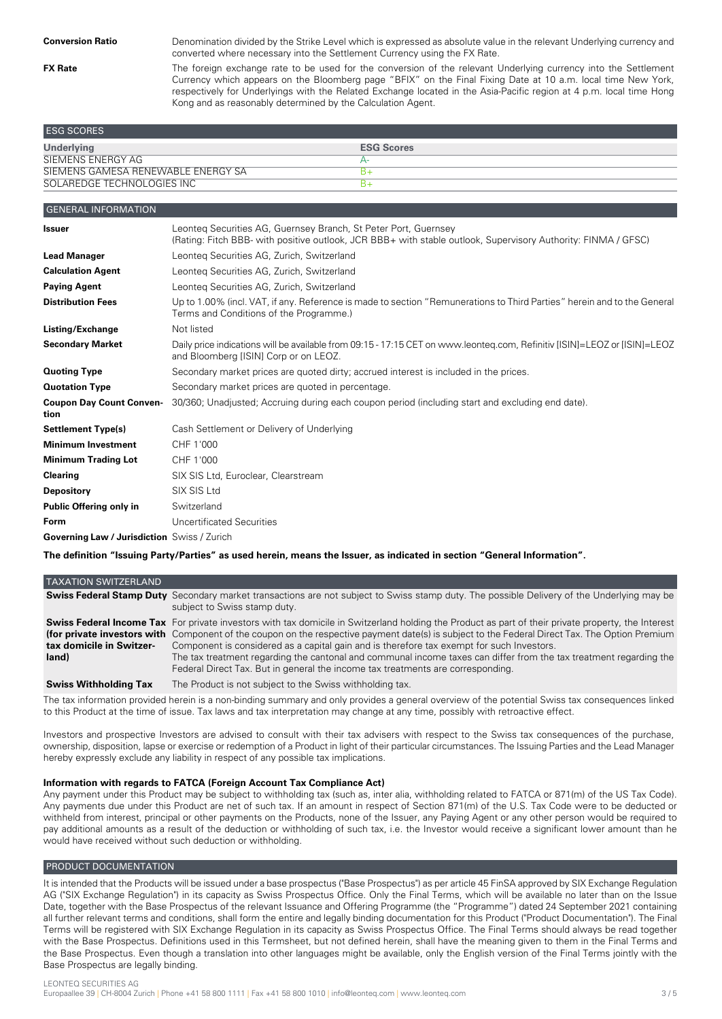**FX Rate**

Denomination divided by the Strike Level which is expressed as absolute value in the relevant Underlying currency and converted where necessary into the Settlement Currency using the FX Rate.

The foreign exchange rate to be used for the conversion of the relevant Underlying currency into the Settlement Currency which appears on the Bloomberg page "BFIX" on the Final Fixing Date at 10 a.m. local time New York, respectively for Underlyings with the Related Exchange located in the Asia-Pacific region at 4 p.m. local time Hong Kong and as reasonably determined by the Calculation Agent.

| <b>ESG SCORES</b>                  |                   |
|------------------------------------|-------------------|
| <b>Underlying</b>                  | <b>ESG Scores</b> |
| SIEMENS ENERGY AG                  |                   |
| SIEMENS GAMESA RENEWABLE ENERGY SA |                   |
| SOLAREDGE TECHNOLOGIES INC         |                   |

| <b>GENERAL INFORMATION</b>                  |                                                                                                                                                                                  |
|---------------------------------------------|----------------------------------------------------------------------------------------------------------------------------------------------------------------------------------|
| <b>Issuer</b>                               | Leonteg Securities AG, Guernsey Branch, St Peter Port, Guernsey<br>(Rating: Fitch BBB- with positive outlook, JCR BBB+ with stable outlook, Supervisory Authority: FINMA / GFSC) |
| <b>Lead Manager</b>                         | Leonteg Securities AG, Zurich, Switzerland                                                                                                                                       |
| <b>Calculation Agent</b>                    | Leonteg Securities AG, Zurich, Switzerland                                                                                                                                       |
| <b>Paying Agent</b>                         | Leonteg Securities AG, Zurich, Switzerland                                                                                                                                       |
| <b>Distribution Fees</b>                    | Up to 1.00% (incl. VAT, if any. Reference is made to section "Remunerations to Third Parties" herein and to the General<br>Terms and Conditions of the Programme.)               |
| Listing/Exchange                            | Not listed                                                                                                                                                                       |
| <b>Secondary Market</b>                     | Daily price indications will be available from 09:15 - 17:15 CET on www.leonteq.com, Refinitiv [ISIN]=LEOZ or [ISIN]=LEOZ<br>and Bloomberg [ISIN] Corp or on LEOZ.               |
| <b>Quoting Type</b>                         | Secondary market prices are quoted dirty; accrued interest is included in the prices.                                                                                            |
| <b>Quotation Type</b>                       | Secondary market prices are quoted in percentage.                                                                                                                                |
| <b>Coupon Day Count Conven-</b><br>tion     | 30/360; Unadjusted; Accruing during each coupon period (including start and excluding end date).                                                                                 |
| <b>Settlement Type(s)</b>                   | Cash Settlement or Delivery of Underlying                                                                                                                                        |
| <b>Minimum Investment</b>                   | CHF 1'000                                                                                                                                                                        |
| <b>Minimum Trading Lot</b>                  | CHF 1'000                                                                                                                                                                        |
| <b>Clearing</b>                             | SIX SIS Ltd, Euroclear, Clearstream                                                                                                                                              |
| <b>Depository</b>                           | SIX SIS Ltd                                                                                                                                                                      |
| Public Offering only in                     | Switzerland                                                                                                                                                                      |
| Form                                        | Uncertificated Securities                                                                                                                                                        |
| Governing Law / Jurisdiction Swiss / Zurich |                                                                                                                                                                                  |

The definition "Issuing Party/Parties" as used herein, means the Issuer, as indicated in section "General Information".

| <b>TAXATION SWITZERLAND</b>       |                                                                                                                                                                                                                                                                                                                                                                                                                                                                                                                                                                                                                    |
|-----------------------------------|--------------------------------------------------------------------------------------------------------------------------------------------------------------------------------------------------------------------------------------------------------------------------------------------------------------------------------------------------------------------------------------------------------------------------------------------------------------------------------------------------------------------------------------------------------------------------------------------------------------------|
|                                   | <b>Swiss Federal Stamp Duty</b> Secondary market transactions are not subject to Swiss stamp duty. The possible Delivery of the Underlying may be<br>subject to Swiss stamp duty.                                                                                                                                                                                                                                                                                                                                                                                                                                  |
| tax domicile in Switzer-<br>land) | <b>Swiss Federal Income Tax</b> For private investors with tax domicile in Switzerland holding the Product as part of their private property, the Interest<br>(for private investors with Component of the coupon on the respective payment date(s) is subject to the Federal Direct Tax. The Option Premium<br>Component is considered as a capital gain and is therefore tax exempt for such Investors.<br>The tax treatment regarding the cantonal and communal income taxes can differ from the tax treatment regarding the<br>Federal Direct Tax. But in general the income tax treatments are corresponding. |
| <b>Swiss Withholding Tax</b>      | The Product is not subject to the Swiss withholding tax.                                                                                                                                                                                                                                                                                                                                                                                                                                                                                                                                                           |

The tax information provided herein is a non-binding summary and only provides a general overview of the potential Swiss tax consequences linked to this Product at the time of issue. Tax laws and tax interpretation may change at any time, possibly with retroactive effect.

Investors and prospective Investors are advised to consult with their tax advisers with respect to the Swiss tax consequences of the purchase, ownership, disposition, lapse or exercise or redemption of a Product in light of their particular circumstances. The Issuing Parties and the Lead Manager hereby expressly exclude any liability in respect of any possible tax implications.

# **Information with regards to FATCA (Foreign Account Tax Compliance Act)**

Any payment under this Product may be subject to withholding tax (such as, inter alia, withholding related to FATCA or 871(m) of the US Tax Code). Any payments due under this Product are net of such tax. If an amount in respect of Section 871(m) of the U.S. Tax Code were to be deducted or withheld from interest, principal or other payments on the Products, none of the Issuer, any Paying Agent or any other person would be required to pay additional amounts as a result of the deduction or withholding of such tax, i.e. the Investor would receive a significant lower amount than he would have received without such deduction or withholding.

# PRODUCT DOCUMENTATION

It is intended that the Products will be issued under a base prospectus ("Base Prospectus") as per article 45 FinSA approved by SIX Exchange Regulation AG ("SIX Exchange Regulation") in its capacity as Swiss Prospectus Office. Only the Final Terms, which will be available no later than on the Issue Date, together with the Base Prospectus of the relevant Issuance and Offering Programme (the "Programme") dated 24 September 2021 containing all further relevant terms and conditions, shall form the entire and legally binding documentation for this Product ("Product Documentation"). The Final Terms will be registered with SIX Exchange Regulation in its capacity as Swiss Prospectus Office. The Final Terms should always be read together with the Base Prospectus. Definitions used in this Termsheet, but not defined herein, shall have the meaning given to them in the Final Terms and the Base Prospectus. Even though a translation into other languages might be available, only the English version of the Final Terms jointly with the Base Prospectus are legally binding.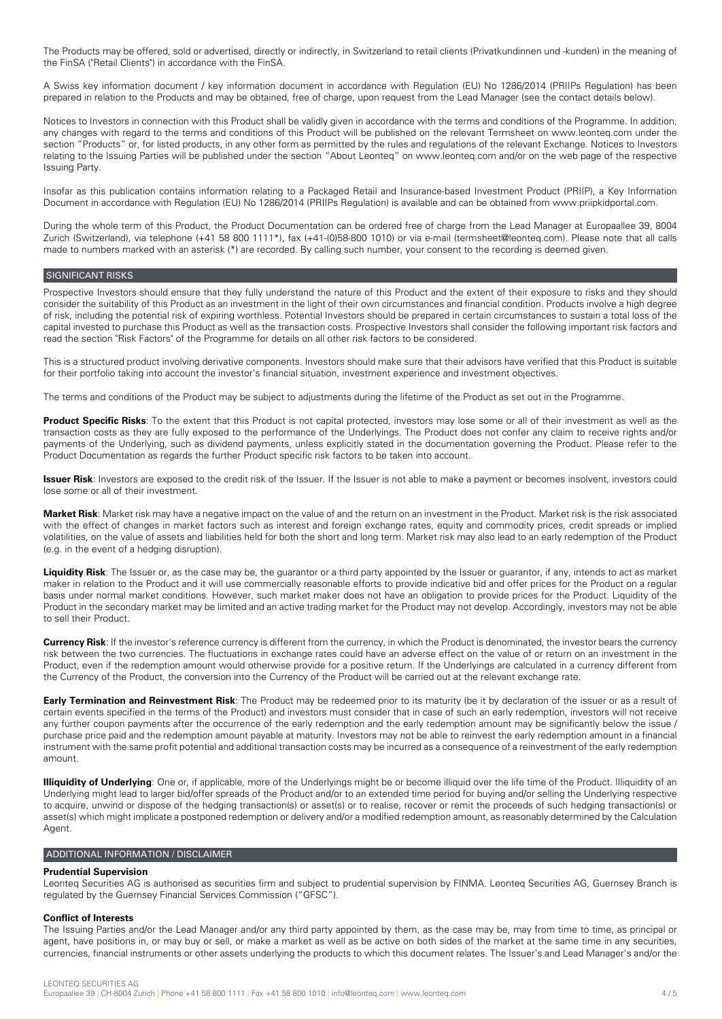The Products may be offered, sold or advertised, directly or indirectly, in Switzerland to retail clients (Privatkundinnen und -kunden) in the meaning of the FinSA ("Retail Clients") in accordance with the FinSA.

A Swiss key information document / key information document in accordance with Regulation (EU) No 1286/2014 (PRIIPs Regulation) has been prepared in relation to the Products and may be obtained, free of charge, upon request from the Lead Manager (see the contact details below).

Notices to Investors in connection with this Product shall be validly given in accordance with the terms and conditions of the Programme. In addition, any changes with regard to the terms and conditions of this Product will be published on the relevant Termsheet on www.leonteq.com under the section "Products" or, for listed products, in any other form as permitted by the rules and regulations of the relevant Exchange. Notices to Investors relating to the Issuing Parties will be published under the section "About Leonteq" on www.leonteq.com and/or on the web page of the respective Issuing Party.

Insofar as this publication contains information relating to a Packaged Retail and Insurance-based Investment Product (PRIIP), a Key Information Document in accordance with Regulation (EU) No 1286/2014 (PRIIPs Regulation) is available and can be obtained from www.priipkidportal.com.

During the whole term of this Product, the Product Documentation can be ordered free of charge from the Lead Manager at Europaallee 39, 8004 Zurich (Switzerland), via telephone (+41 58 800 1111\*), fax (+41-(0)58-800 1010) or via e-mail (termsheet@leonteq.com). Please note that all calls made to numbers marked with an asterisk (\*) are recorded. By calling such number, your consent to the recording is deemed given.

# SIGNIFICANT RISKS

Prospective Investors should ensure that they fully understand the nature of this Product and the extent of their exposure to risks and they should consider the suitability of this Product as an investment in the light of their own circumstances and financial condition. Products involve a high degree of risk, including the potential risk of expiring worthless. Potential Investors should be prepared in certain circumstances to sustain a total loss of the capital invested to purchase this Product as well as the transaction costs. Prospective Investors shall consider the following important risk factors and read the section "Risk Factors" of the Programme for details on all other risk factors to be considered.

This is a structured product involving derivative components. Investors should make sure that their advisors have verified that this Product is suitable for their portfolio taking into account the investor's financial situation, investment experience and investment objectives.

The terms and conditions of the Product may be subject to adjustments during the lifetime of the Product as set out in the Programme.

**Product Specific Risks**: To the extent that this Product is not capital protected, investors may lose some or all of their investment as well as the transaction costs as they are fully exposed to the performance of the Underlyings. The Product does not confer any claim to receive rights and/or payments of the Underlying, such as dividend payments, unless explicitly stated in the documentation governing the Product. Please refer to the Product Documentation as regards the further Product specific risk factors to be taken into account.

**Issuer Risk**: Investors are exposed to the credit risk of the Issuer. If the Issuer is not able to make a payment or becomes insolvent, investors could lose some or all of their investment.

**Market Risk**: Market risk may have a negative impact on the value of and the return on an investment in the Product. Market risk is the risk associated with the effect of changes in market factors such as interest and foreign exchange rates, equity and commodity prices, credit spreads or implied volatilities, on the value of assets and liabilities held for both the short and long term. Market risk may also lead to an early redemption of the Product (e.g. in the event of a hedging disruption).

**Liquidity Risk**: The Issuer or, as the case may be, the guarantor or a third party appointed by the Issuer or guarantor, if any, intends to act as market maker in relation to the Product and it will use commercially reasonable efforts to provide indicative bid and offer prices for the Product on a regular basis under normal market conditions. However, such market maker does not have an obligation to provide prices for the Product. Liquidity of the Product in the secondary market may be limited and an active trading market for the Product may not develop. Accordingly, investors may not be able to sell their Product.

**Currency Risk**: If the investor's reference currency is different from the currency, in which the Product is denominated, the investor bears the currency risk between the two currencies. The fluctuations in exchange rates could have an adverse effect on the value of or return on an investment in the Product, even if the redemption amount would otherwise provide for a positive return. If the Underlyings are calculated in a currency different from the Currency of the Product, the conversion into the Currency of the Product will be carried out at the relevant exchange rate.

**Early Termination and Reinvestment Risk**: The Product may be redeemed prior to its maturity (be it by declaration of the issuer or as a result of certain events specified in the terms of the Product) and investors must consider that in case of such an early redemption, investors will not receive any further coupon payments after the occurrence of the early redemption and the early redemption amount may be significantly below the issue / purchase price paid and the redemption amount payable at maturity. Investors may not be able to reinvest the early redemption amount in a financial instrument with the same profit potential and additional transaction costs may be incurred as a consequence of a reinvestment of the early redemption amount.

**Illiquidity of Underlying**: One or, if applicable, more of the Underlyings might be or become illiquid over the life time of the Product. Illiquidity of an Underlying might lead to larger bid/offer spreads of the Product and/or to an extended time period for buying and/or selling the Underlying respective to acquire, unwind or dispose of the hedging transaction(s) or asset(s) or to realise, recover or remit the proceeds of such hedging transaction(s) or asset(s) which might implicate a postponed redemption or delivery and/or a modified redemption amount, as reasonably determined by the Calculation Agent.

#### ADDITIONAL INFORMATION / DISCLAIMER

# **Prudential Supervision**

Leonteq Securities AG is authorised as securities firm and subject to prudential supervision by FINMA. Leonteq Securities AG, Guernsey Branch is regulated by the Guernsey Financial Services Commission ("GFSC").

#### **Conflict of Interests**

The Issuing Parties and/or the Lead Manager and/or any third party appointed by them, as the case may be, may from time to time, as principal or agent, have positions in, or may buy or sell, or make a market as well as be active on both sides of the market at the same time in any securities, currencies, financial instruments or other assets underlying the products to which this document relates. The Issuer's and Lead Manager's and/or the